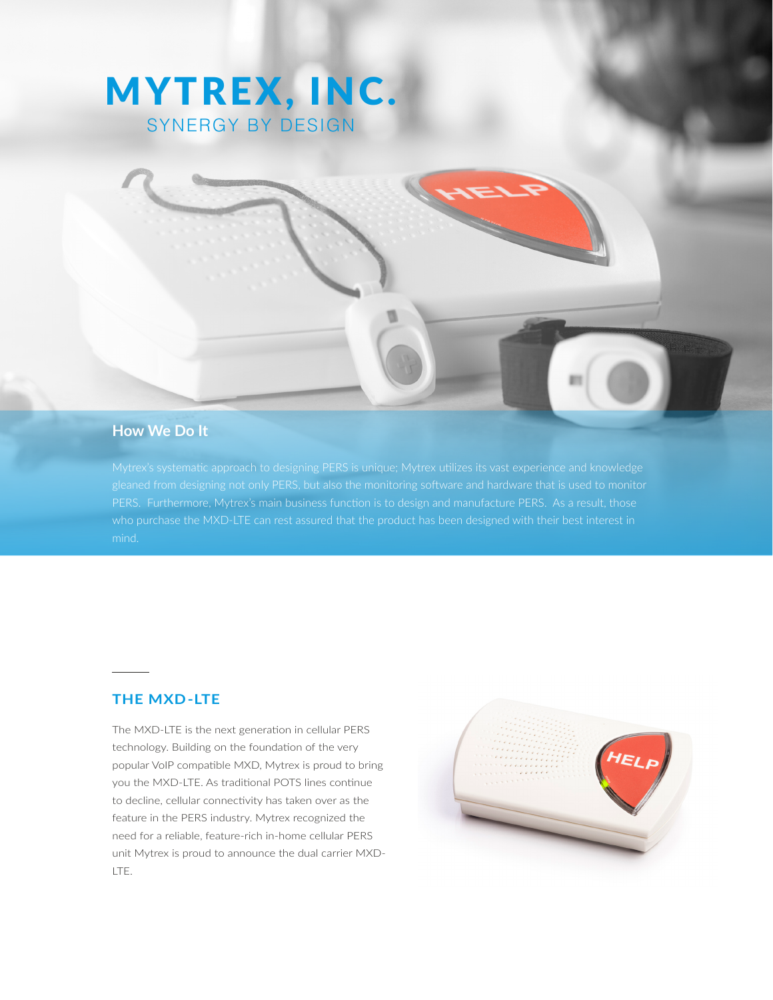# MYTREX, INC. SYNERGY BY DESIGN

# **How We Do It**

PERS. Furthermore, Mytrex's main business function is to design and manufacture PERS. As a result, those

#### **THE MXD-LTE**

The MXD-LTE is the next generation in cellular PERS technology. Building on the foundation of the very popular VoIP compatible MXD, Mytrex is proud to bring you the MXD-LTE. As traditional POTS lines continue to decline, cellular connectivity has taken over as the feature in the PERS industry. Mytrex recognized the need for a reliable, feature-rich in-home cellular PERS unit Mytrex is proud to announce the dual carrier MXD-LTE.